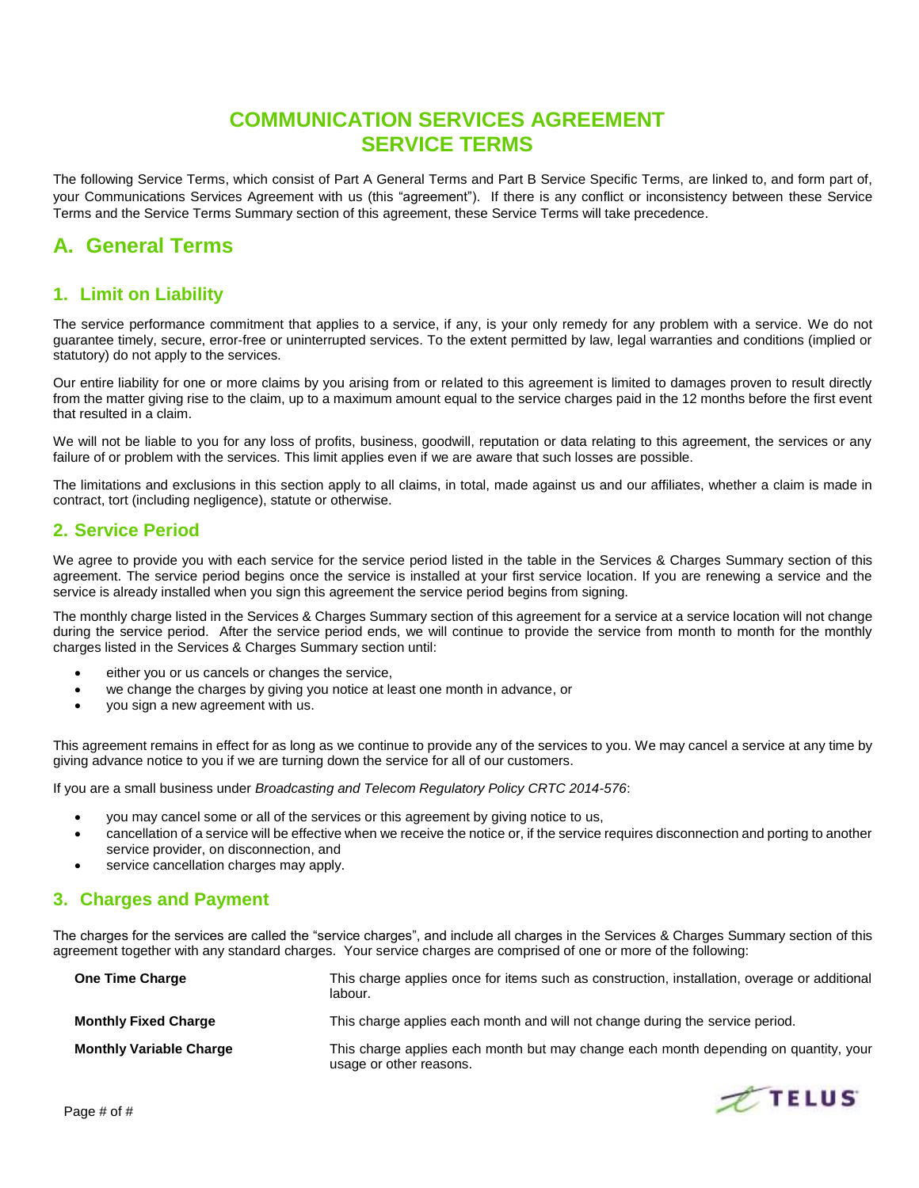## **COMMUNICATION SERVICES AGREEMENT SERVICE TERMS**

The following Service Terms, which consist of Part A General Terms and Part B Service Specific Terms, are linked to, and form part of, your Communications Services Agreement with us (this "agreement"). If there is any conflict or inconsistency between these Service Terms and the Service Terms Summary section of this agreement, these Service Terms will take precedence.

## **A. General Terms**

## **1. Limit on Liability**

The service performance commitment that applies to a service, if any, is your only remedy for any problem with a service. We do not guarantee timely, secure, error-free or uninterrupted services. To the extent permitted by law, legal warranties and conditions (implied or statutory) do not apply to the services.

Our entire liability for one or more claims by you arising from or related to this agreement is limited to damages proven to result directly from the matter giving rise to the claim, up to a maximum amount equal to the service charges paid in the 12 months before the first event that resulted in a claim.

We will not be liable to you for any loss of profits, business, goodwill, reputation or data relating to this agreement, the services or any failure of or problem with the services. This limit applies even if we are aware that such losses are possible.

The limitations and exclusions in this section apply to all claims, in total, made against us and our affiliates, whether a claim is made in contract, tort (including negligence), statute or otherwise.

## **2. Service Period**

We agree to provide you with each service for the service period listed in the table in the Services & Charges Summary section of this agreement. The service period begins once the service is installed at your first service location. If you are renewing a service and the service is already installed when you sign this agreement the service period begins from signing.

The monthly charge listed in the Services & Charges Summary section of this agreement for a service at a service location will not change during the service period. After the service period ends, we will continue to provide the service from month to month for the monthly charges listed in the Services & Charges Summary section until:

- either you or us cancels or changes the service,
- we change the charge[s by](http://by/) giving you notice at least one month in advance, or
- you sign a new agreement with us.

This agreement remains in effect for as long as we continue to provide any of the services to you. We may cancel a service at any time by giving advance notice to you if we are turning down the service for all of our customers.

If you are a small business under *Broadcasting and Telecom Regulatory Policy CRTC 2014-576*:

- you may cancel some or all of the services or this agreement by giving notice to us,
- cancellation of a service will be effective when we receive the notice or, if the service requires disconnection and porting to another service provider, on disconnection, and
- service cancellation charges may apply.

## **3. Charges and Payment**

The charges for the services are called the "service charges", and include all charges in the Services & Charges Summary section of this agreement together with any standard charges. Your service charges are comprised of one or more of the following:

| <b>One Time Charge</b>         | This charge applies once for items such as construction, installation, overage or additional<br>labour.         |
|--------------------------------|-----------------------------------------------------------------------------------------------------------------|
| <b>Monthly Fixed Charge</b>    | This charge applies each month and will not change during the service period.                                   |
| <b>Monthly Variable Charge</b> | This charge applies each month but may change each month depending on quantity, your<br>usage or other reasons. |

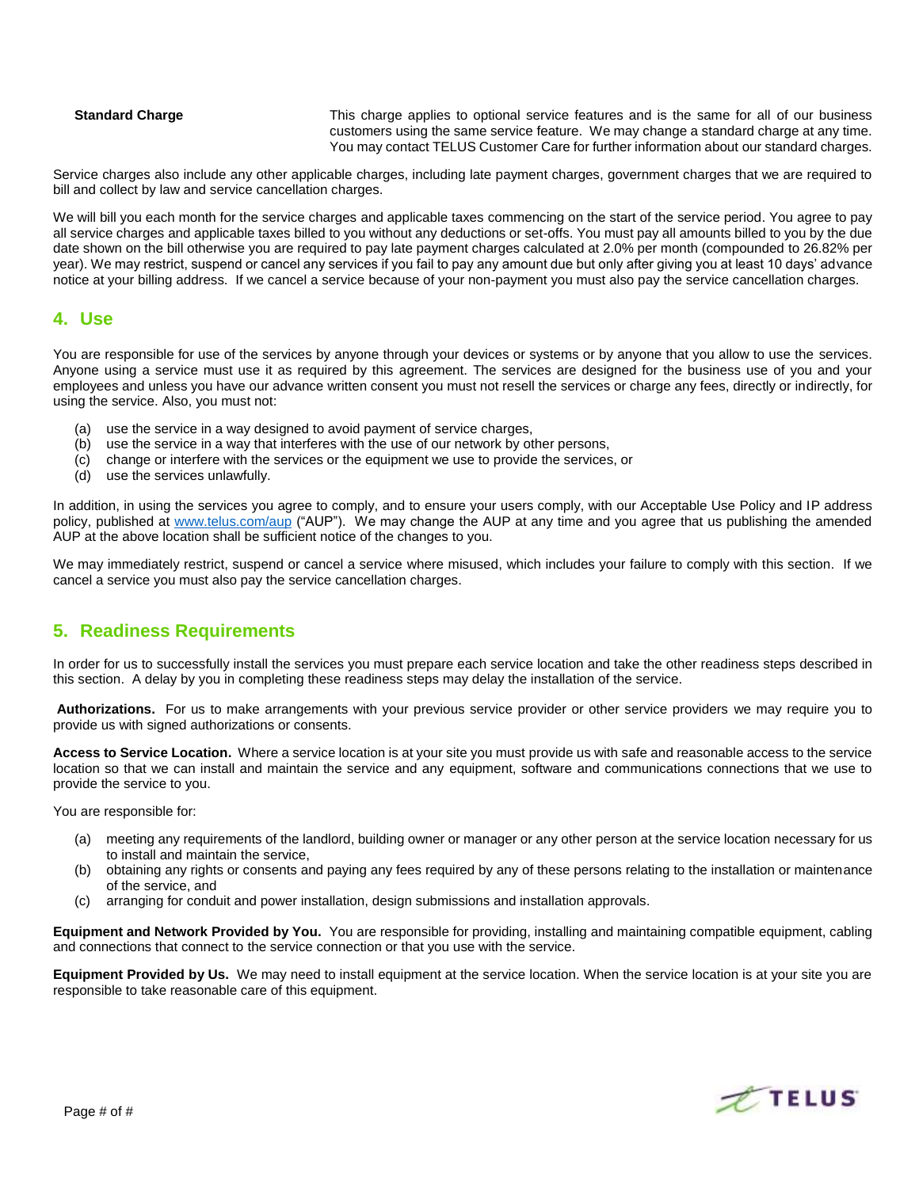**Standard Charge** This charge applies to optional service features and is the same for all of our business customers using the same service feature. We may change a standard charge at any time. You may contact TELUS Customer Care for further information about our standard charges.

Service charges also include any other applicable charges, including late payment charges, government charges that we are required to bill and collect by law and service cancellation charges.

We will bill you each month for the service charges and applicable taxes commencing on the start of the service period. You agree to pay all service charges and applicable taxes billed to you without any deductions or set-offs. You must pay all amounts billed to you by the due date shown on the bill otherwise you are required to pay late payment charges calculated at 2.0% per month (compounded to 26.82% per year). We may restrict, suspend or cancel any services if you fail to pay any amount due but only after giving you at least 10 days' advance notice at your billing address. If we cancel a service because of your non-payment you must also pay the service cancellation charges.

### **4. Use**

You are responsible for use of the services by anyone through your devices or systems or by anyone that you allow to use the services. Anyone using a service must use it as required by this agreement. The services are designed for the business use of you and your employees and unless you have our advance written consent you must not resell the services or charge any fees, directly or indirectly, for using the service. Also, you must not:

- (a) use the service in a way designed to avoid payment of service charges,
- (b) use the service in a way that interferes with the use of our network by other persons,
- (c) change or interfere with the services or the equipment we use to provide the services, or
- (d) use the services unlawfully.

In addition, in using the services you agree to comply, and to ensure your users comply, with our Acceptable Use Policy and IP address policy, published at [www.telus.com/aup](http://www.telus.com/aup) ("AUP"). We may change the AUP at any time and you agree that us publishing the amended AUP at the above location shall be sufficient notice of the changes to you.

We may immediately restrict, suspend or cancel a service where misused, which includes your failure to comply with this section. If we cancel a service you must also pay the service cancellation charges.

## **5. Readiness Requirements**

In order for us to successfully install the services you must prepare each service location and take the other readiness steps described in this section. A delay by you in completing these readiness steps may delay the installation of the service.

**Authorizations.** For us to make arrangements with your previous service provider or other service providers we may require you to provide us with signed authorizations or consents.

Access to Service Location. Where a service location is at your site you must provide us with safe and reasonable access to the service location so that we can install and maintain the service and any equipment, software and communications connections that we use to provide the service to you.

You are responsible for:

- (a) meeting any requirements of the landlord, building owner or manager or any other person at the service location necessary for us to install and maintain the service,
- (b) obtaining any rights or consents and paying any fees required by any of these persons relating to the installation or maintenance of the service, and
- (c) arranging for conduit and power installation, design submissions and installation approvals.

**Equipment and Network Provided by You.** You are responsible for providing, installing and maintaining compatible equipment, cabling and connections that connect to the service connection or that you use with the service.

**Equipment Provided by Us.** We may need to install equipment at the service location. When the service location is at your site you are responsible to take reasonable care of this equipment.

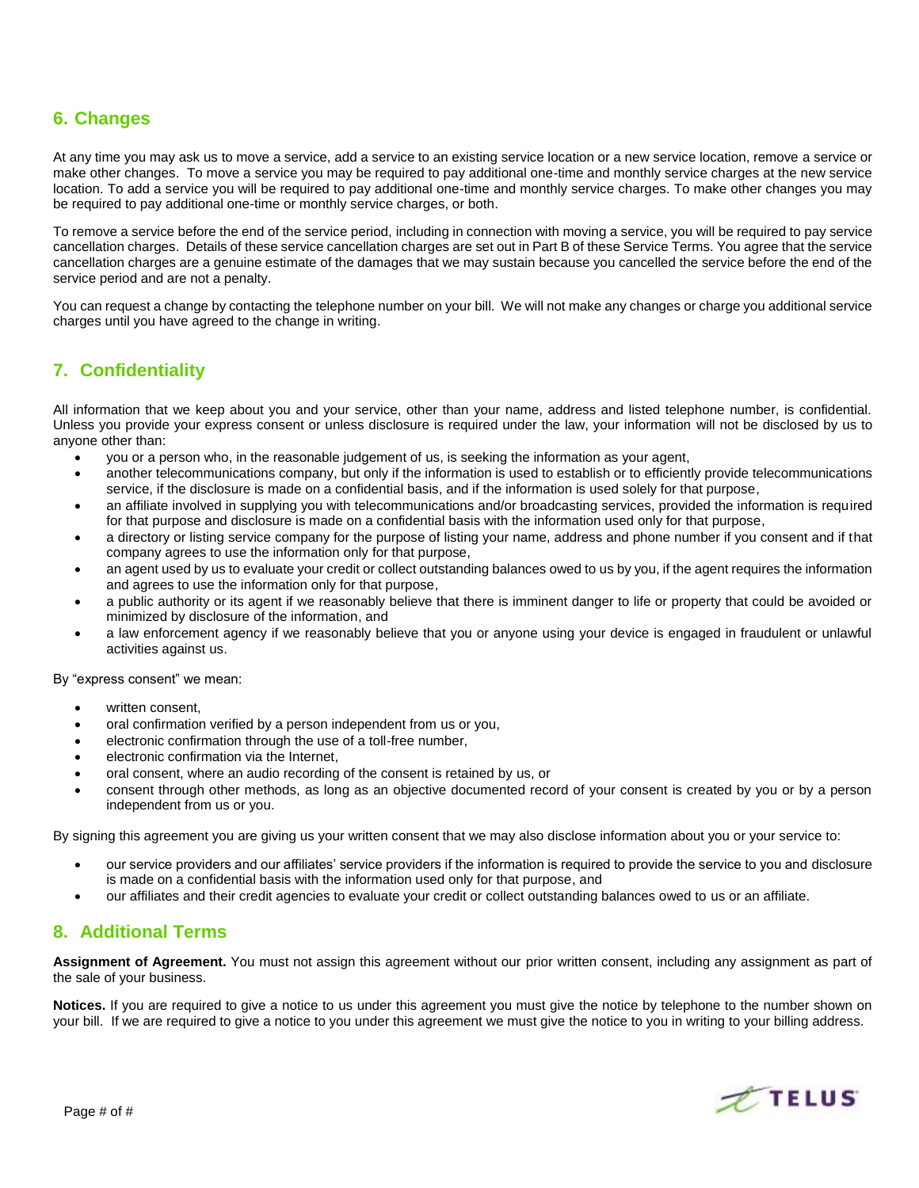## **6. Changes**

At any time you may ask us to move a service, add a service to an existing service location or a new service location, remove a service or make other changes. To move a service you may be required to pay additional one-time and monthly service charges at the new service location. To add a service you will be required to pay additional one-time and monthly service charges. To make other changes you may be required to pay additional one-time or monthly service charges, or both.

To remove a service before the end of the service period, including in connection with moving a service, you will be required to pay service cancellation charges. Details of these service cancellation charges are set out in Part B of these Service Terms. You agree that the service cancellation charges are a genuine estimate of the damages that we may sustain because you cancelled the service before the end of the service period and are not a penalty.

You can request a change by contacting the telephone number on your bill. We will not make any changes or charge you additional service charges until you have agreed to the change in writing.

## **7. Confidentiality**

All information that we keep about you and your service, other than your name, address and listed telephone number, is confidential. Unless you provide your express consent or unless disclosure is required under the law, your information will not be disclosed by us to anyone other than:

- you or a person who, in the reasonable judgement of us, is seeking the information as your agent,
- another telecommunications company, but only if the information is used to establish or to efficiently provide telecommunications service, if the disclosure is made on a confidential basis, and if the information is used solely for that purpose,
- an affiliate involved in supplying you with telecommunications and/or broadcasting services, provided the information is required for that purpose and disclosure is made on a confidential basis with the information used only for that purpose,
- a directory or listing service company for the purpose of listing your name, address and phone number if you consent and if that company agrees to use the information only for that purpose,
- an agent used by us to evaluate your credit or collect outstanding balances owed to us by you, if the agent requires the information and agrees to use the information only for that purpose,
- a public authority or its agent if we reasonably believe that there is imminent danger to life or property that could be avoided or minimized by disclosure of the information, and
- a law enforcement agency if we reasonably believe that you or anyone using your device is engaged in fraudulent or unlawful activities against us.

By "express consent" we mean:

- written consent
- oral confirmation verified by a person independent from us or you,
- electronic confirmation through the use of a toll-free number,
- electronic confirmation via the Internet,
- oral consent, where an audio recording of the consent is retained by us, or
- consent through other methods, as long as an objective documented record of your consent is created by you or by a person independent from us or you.

By signing this agreement you are giving us your written consent that we may also disclose information about you or your service to:

- our service providers and our affiliates' service providers if the information is required to provide the service to you and disclosure is made on a confidential basis with the information used only for that purpose, and
- our affiliates and their credit agencies to evaluate your credit or collect outstanding balances owed to us or an affiliate.

## **8. Additional Terms**

**Assignment of Agreement.** You must not assign this agreement without our prior written consent, including any assignment as part of the sale of your business.

**Notices.** If you are required to give a notice to us under this agreement you must give the notice by telephone to the number shown on your bill. If we are required to give a notice to you under this agreement we must give the notice to you in writing to your billing address.

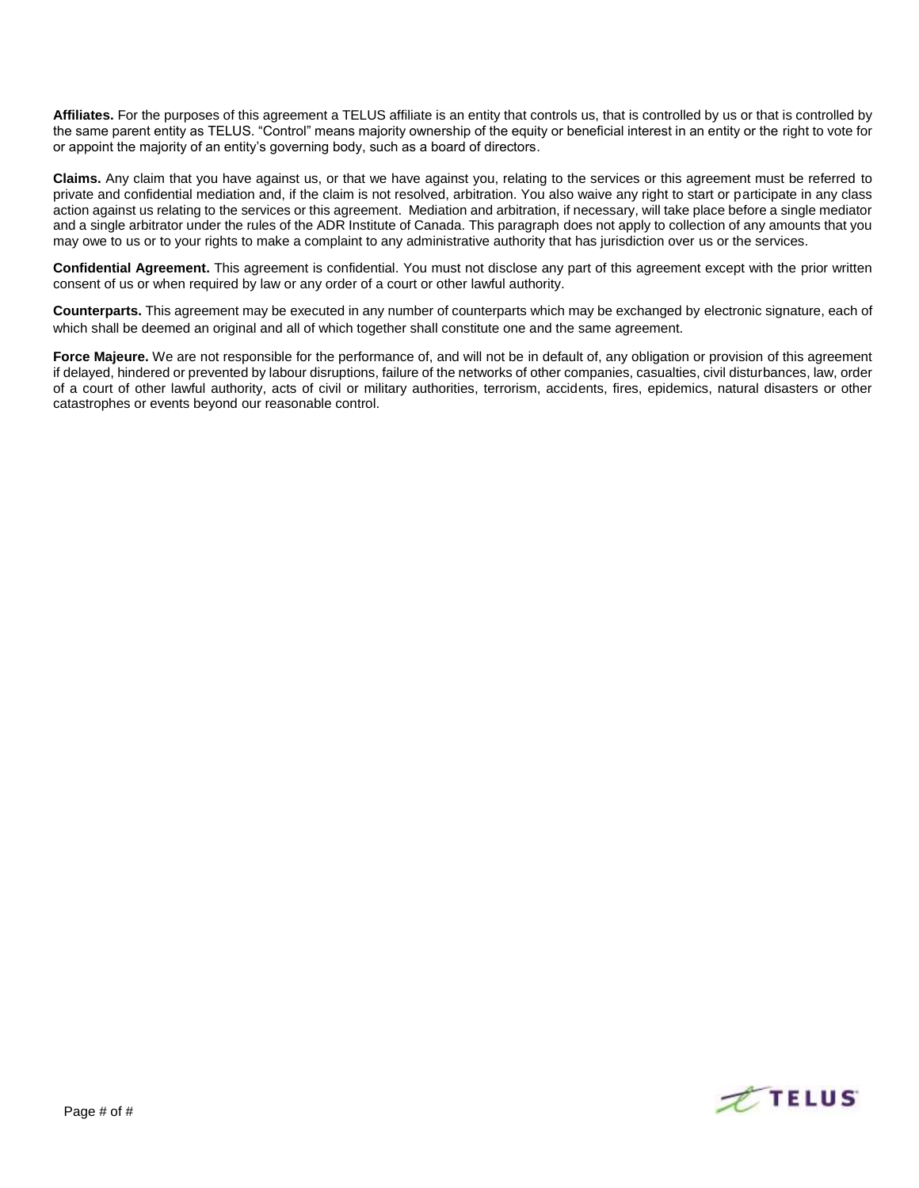Affiliates. For the purposes of this agreement a TELUS affiliate is an entity that controls us, that is controlled by us or that is controlled by the same parent entity as TELUS. "Control" means majority ownership of the equity or beneficial interest in an entity or the right to vote for or appoint the majority of an entity's governing body, such as a board of directors.

**Claims.** Any claim that you have against us, or that we have against you, relating to the services or this agreement must be referred to private and confidential mediation and, if the claim is not resolved, arbitration. You also waive any right to start or participate in any class action against us relating to the services or this agreement. Mediation and arbitration, if necessary, will take place before a single mediator and a single arbitrator under the rules of the ADR Institute of Canada. This paragraph does not apply to collection of any amounts that you may owe to us or to your rights to make a complaint to any administrative authority that has jurisdiction over us or the services.

**Confidential Agreement.** This agreement is confidential. You must not disclose any part of this agreement except with the prior written consent of us or when required by law or any order of a court or other lawful authority.

**Counterparts.** This agreement may be executed in any number of counterparts which may be exchanged by electronic signature, each of which shall be deemed an original and all of which together shall constitute one and the same agreement.

**Force Majeure.** We are not responsible for the performance of, and will not be in default of, any obligation or provision of this agreement if delayed, hindered or prevented by labour disruptions, failure of the networks of other companies, casualties, civil disturbances, law, order of a court of other lawful authority, acts of civil or military authorities, terrorism, accidents, fires, epidemics, natural disasters or other catastrophes or events beyond our reasonable control.

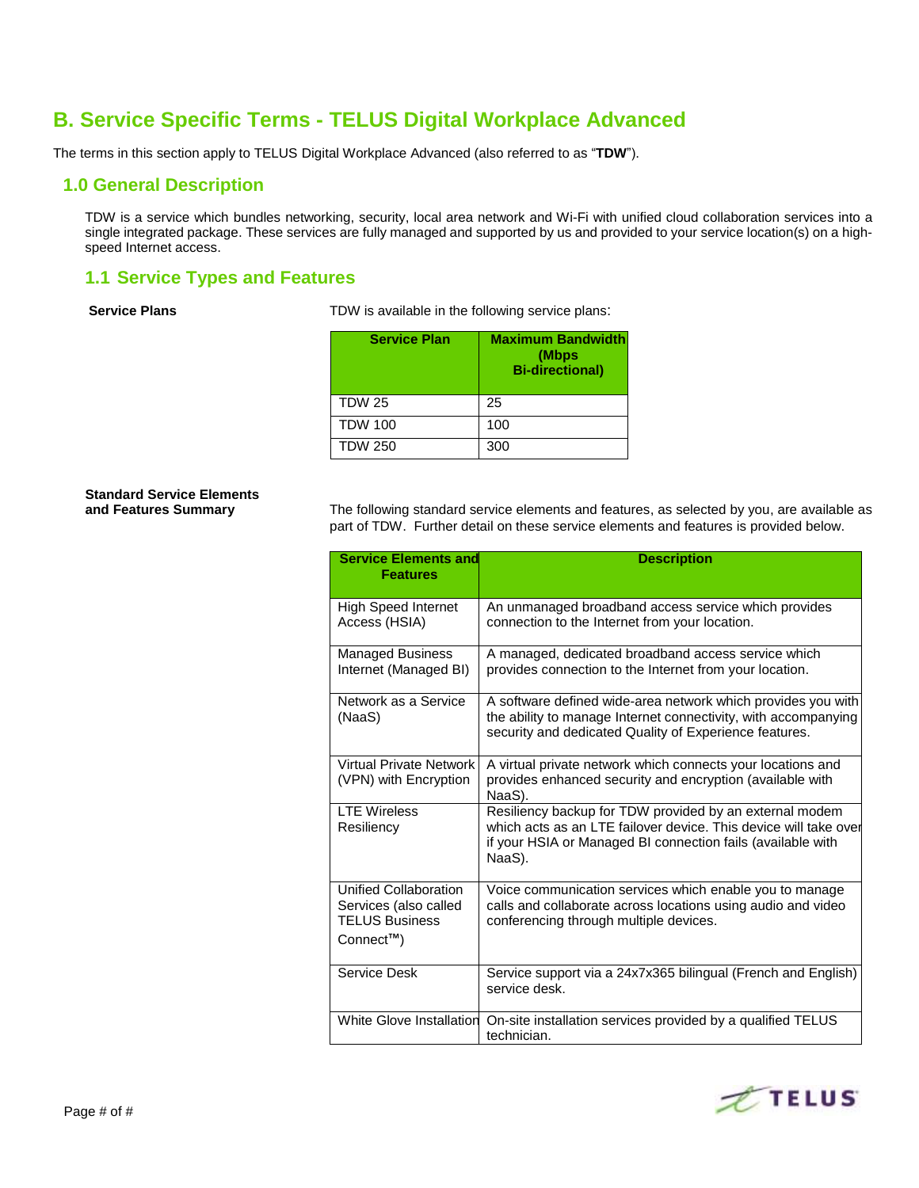## **B. Service Specific Terms - TELUS Digital Workplace Advanced**

The terms in this section apply to TELUS Digital Workplace Advanced (also referred to as "**TDW**").

## **1.0 General Description**

TDW is a service which bundles networking, security, local area network and Wi-Fi with unified cloud collaboration services into a single integrated package. These services are fully managed and supported by us and provided to your service location(s) on a highspeed Internet access.

## **1.1 Service Types and Features**

**Service Plans** TDW is available in the following service plans:

| <b>Service Plan</b> | <b>Maximum Bandwidth</b><br>(Mbps<br><b>Bi-directional)</b> |
|---------------------|-------------------------------------------------------------|
| <b>TDW 25</b>       | 25                                                          |
| <b>TDW 100</b>      | 100                                                         |
| <b>TDW 250</b>      | 300                                                         |

# **Standard Service Elements**

**and Features Summary** The following standard service elements and features, as selected by you, are available as part of TDW. Further detail on these service elements and features is provided below.

| <b>Service Elements and</b><br><b>Features</b>                                                    | <b>Description</b>                                                                                                                                                                                   |
|---------------------------------------------------------------------------------------------------|------------------------------------------------------------------------------------------------------------------------------------------------------------------------------------------------------|
| <b>High Speed Internet</b><br>Access (HSIA)                                                       | An unmanaged broadband access service which provides<br>connection to the Internet from your location.                                                                                               |
| <b>Managed Business</b><br>Internet (Managed BI)                                                  | A managed, dedicated broadband access service which<br>provides connection to the Internet from your location.                                                                                       |
| Network as a Service<br>(NaaS)                                                                    | A software defined wide-area network which provides you with<br>the ability to manage Internet connectivity, with accompanying<br>security and dedicated Quality of Experience features.             |
| <b>Virtual Private Network</b><br>(VPN) with Encryption                                           | A virtual private network which connects your locations and<br>provides enhanced security and encryption (available with<br>NaaS).                                                                   |
| <b>LTF Wireless</b><br>Resiliency                                                                 | Resiliency backup for TDW provided by an external modem<br>which acts as an LTE failover device. This device will take over<br>if your HSIA or Managed BI connection fails (available with<br>NaaS). |
| Unified Collaboration<br>Services (also called<br><b>TELUS Business</b><br>Connect <sup>™</sup> ) | Voice communication services which enable you to manage<br>calls and collaborate across locations using audio and video<br>conferencing through multiple devices.                                    |
| Service Desk                                                                                      | Service support via a 24x7x365 bilingual (French and English)<br>service desk.                                                                                                                       |
| White Glove Installation                                                                          | On-site installation services provided by a qualified TELUS<br>technician.                                                                                                                           |

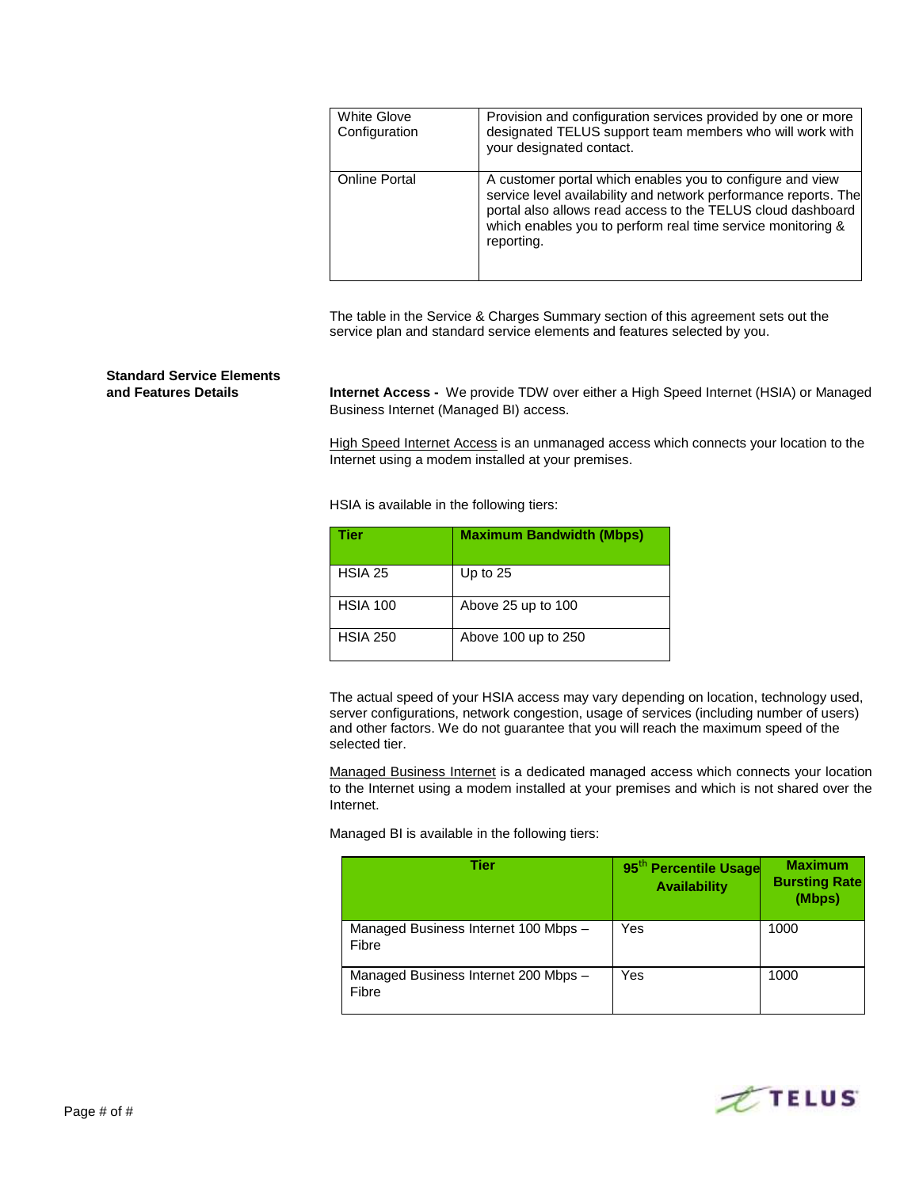| <b>White Glove</b><br>Configuration | Provision and configuration services provided by one or more<br>designated TELUS support team members who will work with<br>your designated contact.                                                                                                                     |
|-------------------------------------|--------------------------------------------------------------------------------------------------------------------------------------------------------------------------------------------------------------------------------------------------------------------------|
| <b>Online Portal</b>                | A customer portal which enables you to configure and view<br>service level availability and network performance reports. The<br>portal also allows read access to the TELUS cloud dashboard<br>which enables you to perform real time service monitoring &<br>reporting. |

The table in the Service & Charges Summary section of this agreement sets out the service plan and standard service elements and features selected by you.

# **Standard Service Elements**

**and Features Details Internet Access -** We provide TDW over either a High Speed Internet (HSIA) or Managed Business Internet (Managed BI) access.

> High Speed Internet Access is an unmanaged access which connects your location to the Internet using a modem installed at your premises.

HSIA is available in the following tiers:

| Tier            | <b>Maximum Bandwidth (Mbps)</b> |
|-----------------|---------------------------------|
| HSIA 25         | Up to $25$                      |
| <b>HSIA 100</b> | Above 25 up to 100              |
| <b>HSIA 250</b> | Above 100 up to 250             |

The actual speed of your HSIA access may vary depending on location, technology used, server configurations, network congestion, usage of services (including number of users) and other factors. We do not guarantee that you will reach the maximum speed of the selected tier.

Managed Business Internet is a dedicated managed access which connects your location to the Internet using a modem installed at your premises and which is not shared over the Internet.

Managed BI is available in the following tiers:

| Tier                                          | 95 <sup>th</sup> Percentile Usage<br><b>Availability</b> | <b>Maximum</b><br><b>Bursting Rate</b><br>(Mbps) |
|-----------------------------------------------|----------------------------------------------------------|--------------------------------------------------|
| Managed Business Internet 100 Mbps -<br>Fibre | Yes                                                      | 1000                                             |
| Managed Business Internet 200 Mbps -<br>Fibre | Yes                                                      | 1000                                             |

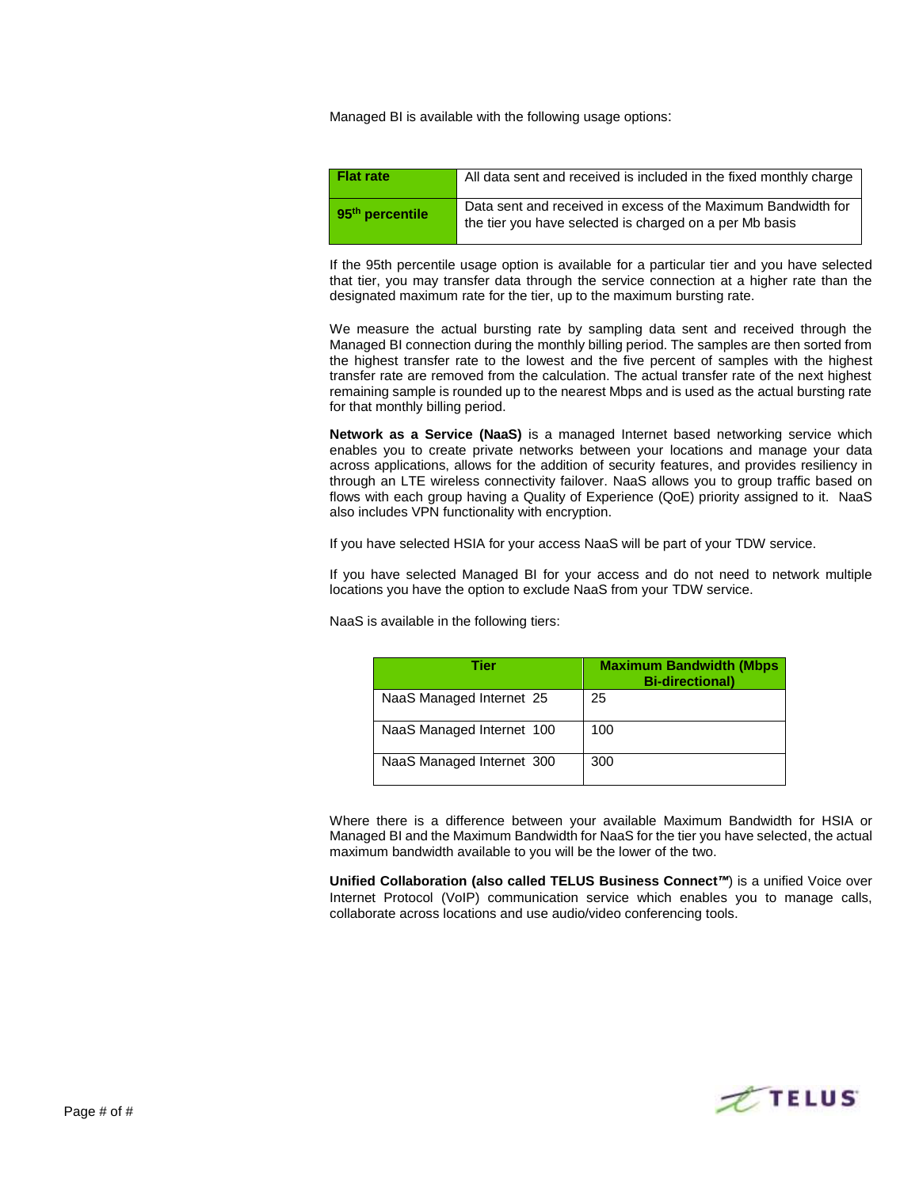Managed BI is available with the following usage options:

| <b>Flat rate</b>            | All data sent and received is included in the fixed monthly charge                                                       |
|-----------------------------|--------------------------------------------------------------------------------------------------------------------------|
| 95 <sup>th</sup> percentile | Data sent and received in excess of the Maximum Bandwidth for<br>the tier you have selected is charged on a per Mb basis |

If the 95th percentile usage option is available for a particular tier and you have selected that tier, you may transfer data through the service connection at a higher rate than the designated maximum rate for the tier, up to the maximum bursting rate.

We measure the actual bursting rate by sampling data sent and received through the Managed BI connection during the monthly billing period. The samples are then sorted from the highest transfer rate to the lowest and the five percent of samples with the highest transfer rate are removed from the calculation. The actual transfer rate of the next highest remaining sample is rounded up to the nearest Mbps and is used as the actual bursting rate for that monthly billing period.

**Network as a Service (NaaS)** is a managed Internet based networking service which enables you to create private networks between your locations and manage your data across applications, allows for the addition of security features, and provides resiliency in through an LTE wireless connectivity failover. NaaS allows you to group traffic based on flows with each group having a Quality of Experience (QoE) priority assigned to it. NaaS also includes VPN functionality with encryption.

If you have selected HSIA for your access NaaS will be part of your TDW service.

If you have selected Managed BI for your access and do not need to network multiple locations you have the option to exclude NaaS from your TDW service.

NaaS is available in the following tiers:

| Tier                      | <b>Maximum Bandwidth (Mbps</b><br><b>Bi-directional</b> ) |
|---------------------------|-----------------------------------------------------------|
| NaaS Managed Internet 25  | 25                                                        |
| NaaS Managed Internet 100 | 100                                                       |
| NaaS Managed Internet 300 | 300                                                       |

Where there is a difference between your available Maximum Bandwidth for HSIA or Managed BI and the Maximum Bandwidth for NaaS for the tier you have selected, the actual maximum bandwidth available to you will be the lower of the two.

**Unified Collaboration (also called TELUS Business Connect***™*) is a unified Voice over Internet Protocol (VoIP) communication service which enables you to manage calls, collaborate across locations and use audio/video conferencing tools.

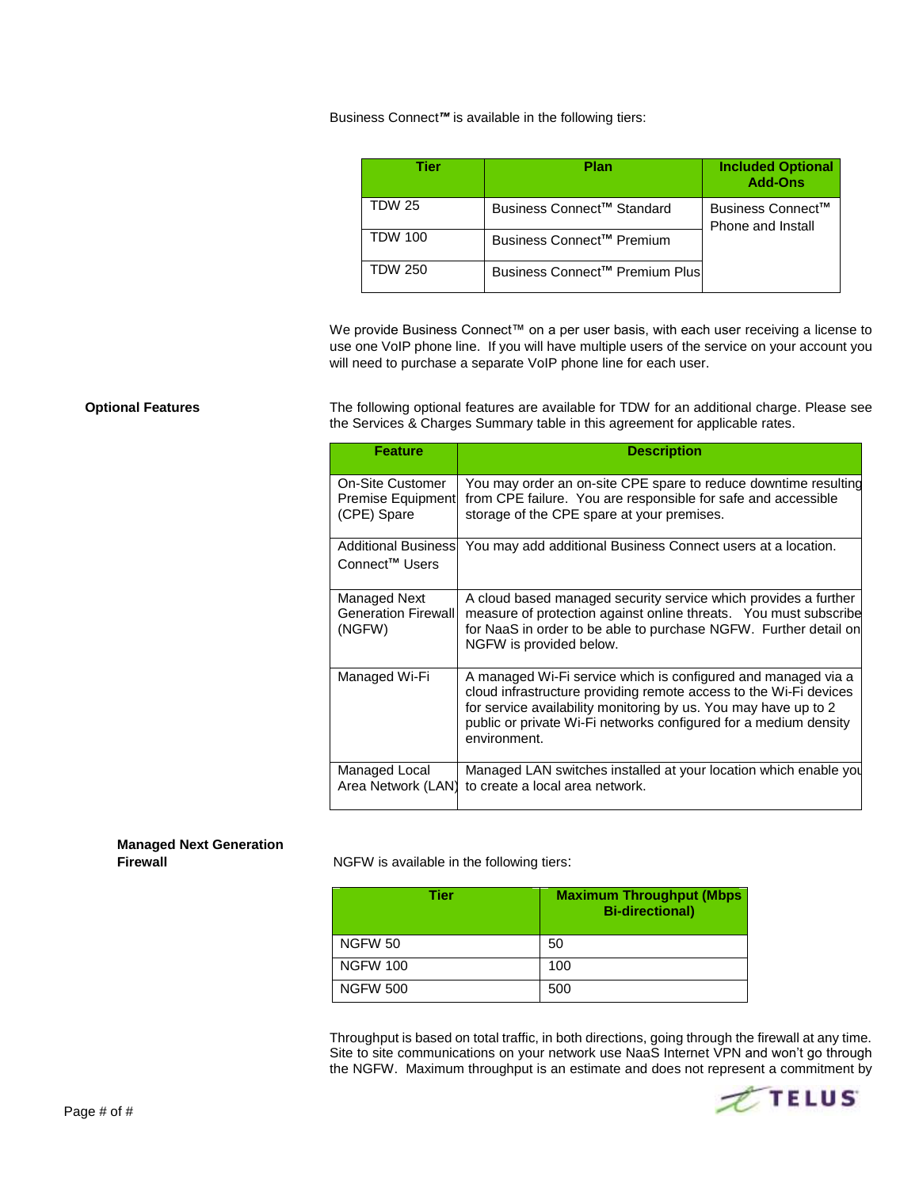### Business Connect*™* is available in the following tiers:

| Tier           | Plan                                  | <b>Included Optional</b><br><b>Add-Ons</b>         |
|----------------|---------------------------------------|----------------------------------------------------|
| TDW 25         | Business Connect™ Standard            | Business Connect <sup>™</sup><br>Phone and Install |
| <b>TDW 100</b> | Business Connect <sup>™</sup> Premium |                                                    |
| <b>TDW 250</b> | Business Connect™ Premium Plus        |                                                    |

We provide Business Connect™ on a per user basis, with each user receiving a license to use one VoIP phone line. If you will have multiple users of the service on your account you will need to purchase a separate VoIP phone line for each user.

**Optional Features** The following optional features are available for TDW for an additional charge. Please see the Services & Charges Summary table in this agreement for applicable rates.

| <b>Feature</b>                                              | <b>Description</b>                                                                                                                                                                                                                                                                        |
|-------------------------------------------------------------|-------------------------------------------------------------------------------------------------------------------------------------------------------------------------------------------------------------------------------------------------------------------------------------------|
| On-Site Customer<br><b>Premise Equipment</b><br>(CPE) Spare | You may order an on-site CPE spare to reduce downtime resulting<br>from CPE failure. You are responsible for safe and accessible<br>storage of the CPE spare at your premises.                                                                                                            |
| <b>Additional Businessl</b><br>Connect <sup>™</sup> Users   | You may add additional Business Connect users at a location.                                                                                                                                                                                                                              |
| Managed Next<br><b>Generation Firewall</b><br>(NGFW)        | A cloud based managed security service which provides a further<br>measure of protection against online threats. You must subscribe<br>for NaaS in order to be able to purchase NGFW. Further detail on<br>NGFW is provided below.                                                        |
| Managed Wi-Fi                                               | A managed Wi-Fi service which is configured and managed via a<br>cloud infrastructure providing remote access to the Wi-Fi devices<br>for service availability monitoring by us. You may have up to 2<br>public or private Wi-Fi networks configured for a medium density<br>environment. |
| Managed Local<br>Area Network (LAN)                         | Managed LAN switches installed at your location which enable you<br>to create a local area network.                                                                                                                                                                                       |

# **Managed Next Generation**

**NGFW** is available in the following tiers:

| Tier            | <b>Maximum Throughput (Mbps</b><br><b>Bi-directional</b> ) |
|-----------------|------------------------------------------------------------|
| <b>NGFW 50</b>  | 50                                                         |
| <b>NGFW 100</b> | 100                                                        |
| <b>NGFW 500</b> | 500                                                        |

Throughput is based on total traffic, in both directions, going through the firewall at any time. Site to site communications on your network use NaaS Internet VPN and won't go through the NGFW. Maximum throughput is an estimate and does not represent a commitment by



Page # of #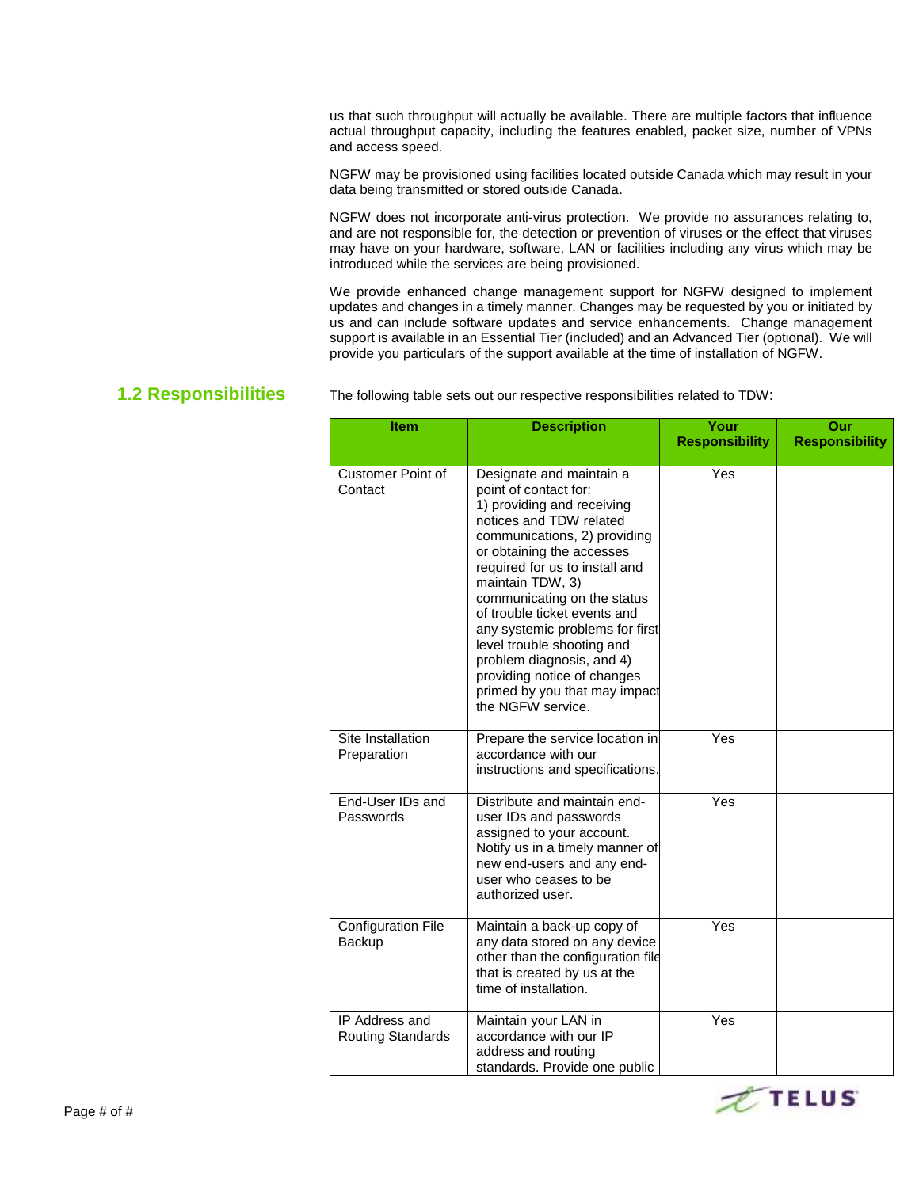us that such throughput will actually be available. There are multiple factors that influence actual throughput capacity, including the features enabled, packet size, number of VPNs and access speed.

NGFW may be provisioned using facilities located outside Canada which may result in your data being transmitted or stored outside Canada.

NGFW does not incorporate anti-virus protection. We provide no assurances relating to, and are not responsible for, the detection or prevention of viruses or the effect that viruses may have on your hardware, software, LAN or facilities including any virus which may be introduced while the services are being provisioned.

We provide enhanced change management support for NGFW designed to implement updates and changes in a timely manner. Changes may be requested by you or initiated by us and can include software updates and service enhancements. Change management support is available in an Essential Tier (included) and an Advanced Tier (optional). We will provide you particulars of the support available at the time of installation of NGFW.

**1.2 Responsibilities** The following table sets out our respective responsibilities related to TDW:

| <b>Item</b>                                       | <b>Description</b>                                                                                                                                                                                                                                                                                                                                                                                                                                                              | Your<br><b>Responsibility</b> | Our<br><b>Responsibility</b> |
|---------------------------------------------------|---------------------------------------------------------------------------------------------------------------------------------------------------------------------------------------------------------------------------------------------------------------------------------------------------------------------------------------------------------------------------------------------------------------------------------------------------------------------------------|-------------------------------|------------------------------|
| <b>Customer Point of</b><br>Contact               | Designate and maintain a<br>point of contact for:<br>1) providing and receiving<br>notices and TDW related<br>communications, 2) providing<br>or obtaining the accesses<br>required for us to install and<br>maintain TDW, 3)<br>communicating on the status<br>of trouble ticket events and<br>any systemic problems for first<br>level trouble shooting and<br>problem diagnosis, and 4)<br>providing notice of changes<br>primed by you that may impact<br>the NGFW service. | Yes                           |                              |
| Site Installation<br>Preparation                  | Prepare the service location in<br>accordance with our<br>instructions and specifications.                                                                                                                                                                                                                                                                                                                                                                                      | Yes                           |                              |
| End-User IDs and<br>Passwords                     | Distribute and maintain end-<br>user IDs and passwords<br>assigned to your account.<br>Notify us in a timely manner of<br>new end-users and any end-<br>user who ceases to be<br>authorized user.                                                                                                                                                                                                                                                                               | Yes                           |                              |
| <b>Configuration File</b><br><b>Backup</b>        | Maintain a back-up copy of<br>any data stored on any device<br>other than the configuration file<br>that is created by us at the<br>time of installation.                                                                                                                                                                                                                                                                                                                       | Yes                           |                              |
| <b>IP Address and</b><br><b>Routing Standards</b> | Maintain your LAN in<br>accordance with our IP<br>address and routing<br>standards. Provide one public                                                                                                                                                                                                                                                                                                                                                                          | Yes                           |                              |

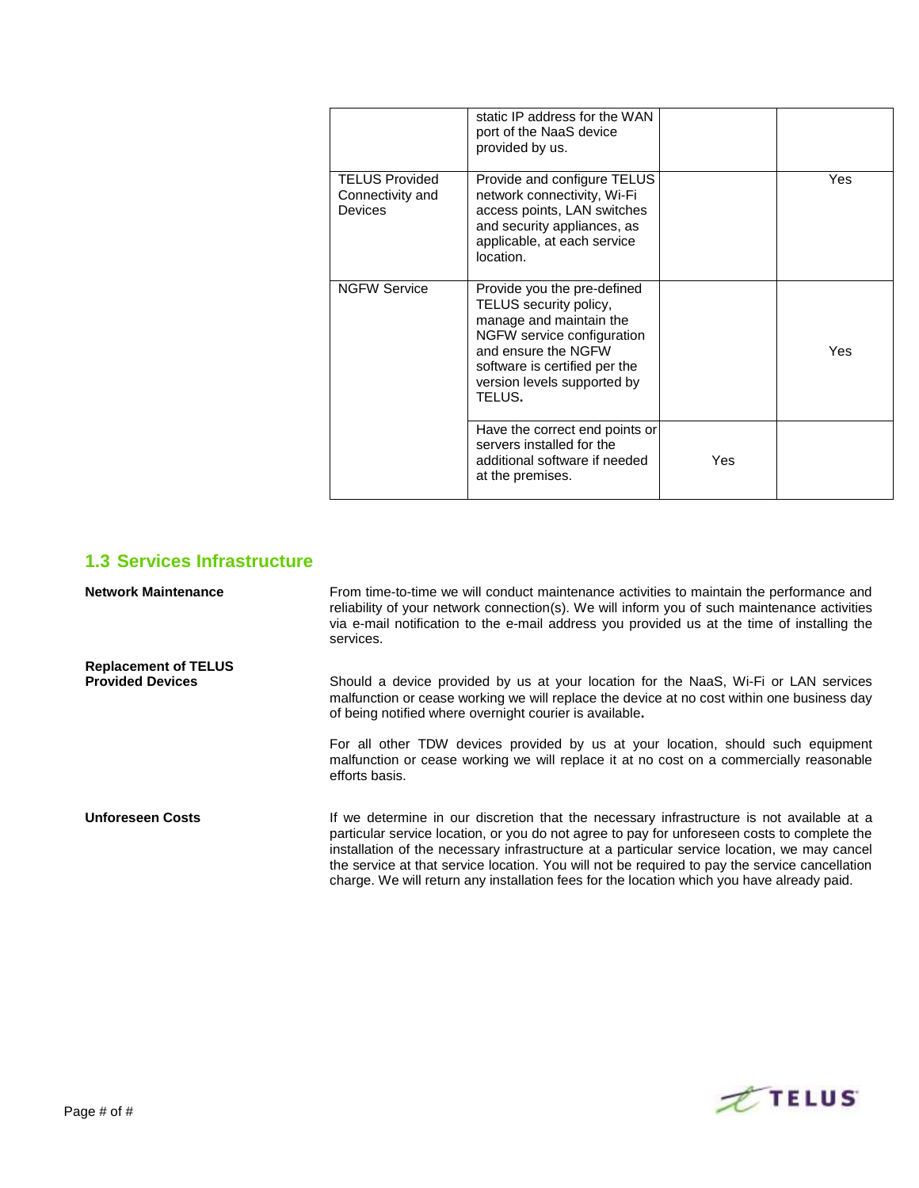|                                                             | static IP address for the WAN<br>port of the NaaS device<br>provided by us.                                                                                                                                     |     |     |
|-------------------------------------------------------------|-----------------------------------------------------------------------------------------------------------------------------------------------------------------------------------------------------------------|-----|-----|
| <b>TELUS Provided</b><br>Connectivity and<br><b>Devices</b> | Provide and configure TELUS<br>network connectivity, Wi-Fi<br>access points, LAN switches<br>and security appliances, as<br>applicable, at each service<br>location.                                            |     | Yes |
| <b>NGFW Service</b>                                         | Provide you the pre-defined<br>TELUS security policy,<br>manage and maintain the<br>NGFW service configuration<br>and ensure the NGFW<br>software is certified per the<br>version levels supported by<br>TELUS. |     | Yes |
|                                                             | Have the correct end points or<br>servers installed for the<br>additional software if needed<br>at the premises.                                                                                                | Yes |     |

## **1.3 Services Infrastructure**

| <b>Network Maintenance</b>                             | From time-to-time we will conduct maintenance activities to maintain the performance and<br>reliability of your network connection(s). We will inform you of such maintenance activities<br>via e-mail notification to the e-mail address you provided us at the time of installing the<br>services.                                                                                                                                                                                      |
|--------------------------------------------------------|-------------------------------------------------------------------------------------------------------------------------------------------------------------------------------------------------------------------------------------------------------------------------------------------------------------------------------------------------------------------------------------------------------------------------------------------------------------------------------------------|
| <b>Replacement of TELUS</b><br><b>Provided Devices</b> | Should a device provided by us at your location for the NaaS, Wi-Fi or LAN services                                                                                                                                                                                                                                                                                                                                                                                                       |
|                                                        | malfunction or cease working we will replace the device at no cost within one business day<br>of being notified where overnight courier is available.                                                                                                                                                                                                                                                                                                                                     |
|                                                        | For all other TDW devices provided by us at your location, should such equipment<br>malfunction or cease working we will replace it at no cost on a commercially reasonable<br>efforts basis.                                                                                                                                                                                                                                                                                             |
| <b>Unforeseen Costs</b>                                | If we determine in our discretion that the necessary infrastructure is not available at a<br>particular service location, or you do not agree to pay for unforeseen costs to complete the<br>installation of the necessary infrastructure at a particular service location, we may cancel<br>the service at that service location. You will not be required to pay the service cancellation<br>charge. We will return any installation fees for the location which you have already paid. |

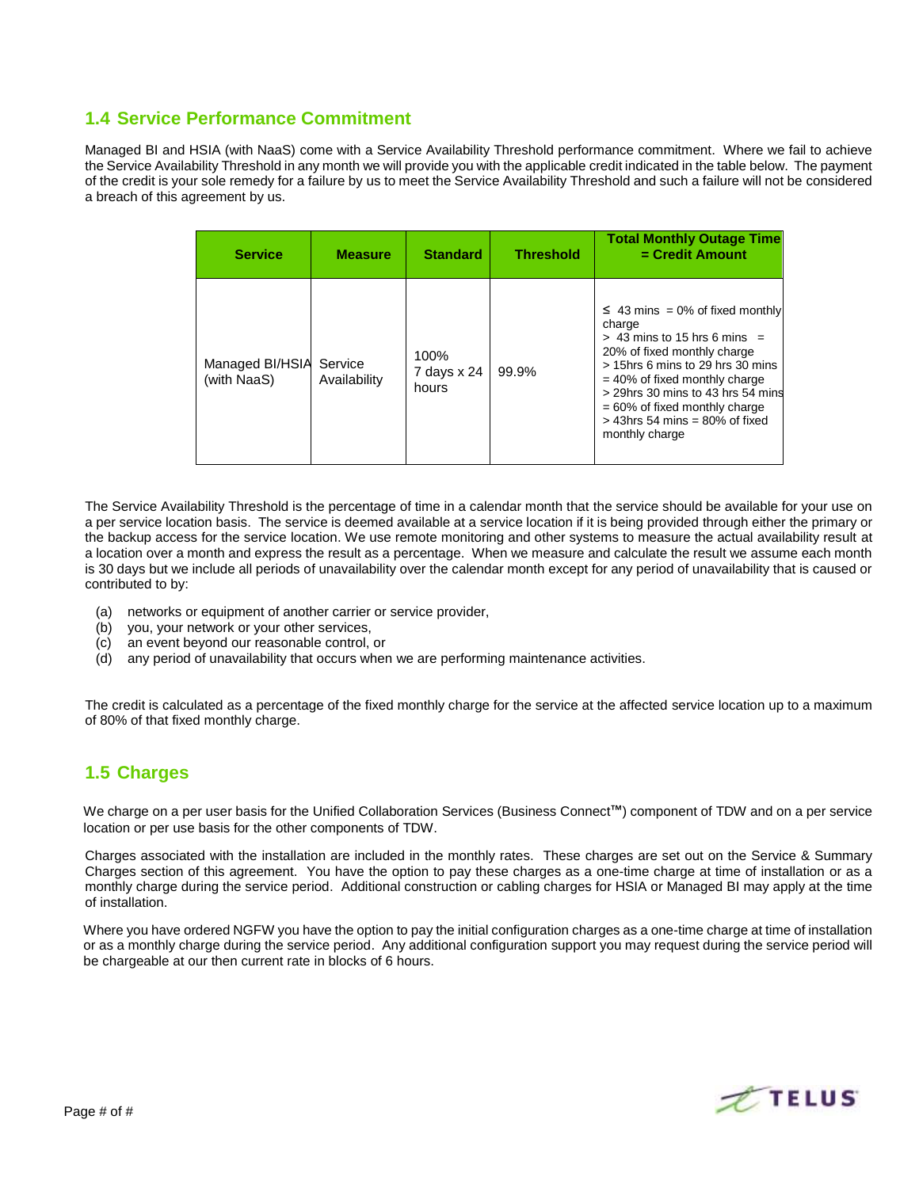## **1.4 Service Performance Commitment**

Managed BI and HSIA (with NaaS) come with a Service Availability Threshold performance commitment. Where we fail to achieve the Service Availability Threshold in any month we will provide you with the applicable credit indicated in the table below. The payment of the credit is your sole remedy for a failure by us to meet the Service Availability Threshold and such a failure will not be considered a breach of this agreement by us.

| <b>Service</b>                 | <b>Measure</b>          | <b>Standard</b>              | <b>Threshold</b> | <b>Total Monthly Outage Time</b><br>$=$ Credit Amount                                                                                                                                                                                                                                                                  |
|--------------------------------|-------------------------|------------------------------|------------------|------------------------------------------------------------------------------------------------------------------------------------------------------------------------------------------------------------------------------------------------------------------------------------------------------------------------|
| Managed BI/HSIA<br>(with NaaS) | Service<br>Availability | 100%<br>7 days x 24<br>hours | 99.9%            | $\leq$ 43 mins = 0% of fixed monthly<br>charge<br>$>$ 43 mins to 15 hrs 6 mins =<br>20% of fixed monthly charge<br>> 15hrs 6 mins to 29 hrs 30 mins<br>$= 40\%$ of fixed monthly charge<br>> 29hrs 30 mins to 43 hrs 54 mins<br>$= 60\%$ of fixed monthly charge<br>$>$ 43hrs 54 mins = 80% of fixed<br>monthly charge |

The Service Availability Threshold is the percentage of time in a calendar month that the service should be available for your use on a per service location basis. The service is deemed available at a service location if it is being provided through either the primary or the backup access for the service location. We use remote monitoring and other systems to measure the actual availability result at a location over a month and express the result as a percentage. When we measure and calculate the result we assume each month is 30 days but we include all periods of unavailability over the calendar month except for any period of unavailability that is caused or contributed to by:

- (a) networks or equipment of another carrier or service provider,
- (b) you, your network or your other services,
- (c) an event beyond our reasonable control, or
- (d) any period of unavailability that occurs when we are performing maintenance activities.

The credit is calculated as a percentage of the fixed monthly charge for the service at the affected service location up to a maximum of 80% of that fixed monthly charge.

## **1.5 Charges**

We charge on a per user basis for the Unified Collaboration Services (Business Connect™) component of TDW and on a per service location or per use basis for the other components of TDW.

Charges associated with the installation are included in the monthly rates. These charges are set out on the Service & Summary Charges section of this agreement. You have the option to pay these charges as a one-time charge at time of installation or as a monthly charge during the service period. Additional construction or cabling charges for HSIA or Managed BI may apply at the time of installation.

Where you have ordered NGFW you have the option to pay the initial configuration charges as a one-time charge at time of installation or as a monthly charge during the service period. Any additional configuration support you may request during the service period will be chargeable at our then current rate in blocks of 6 hours.